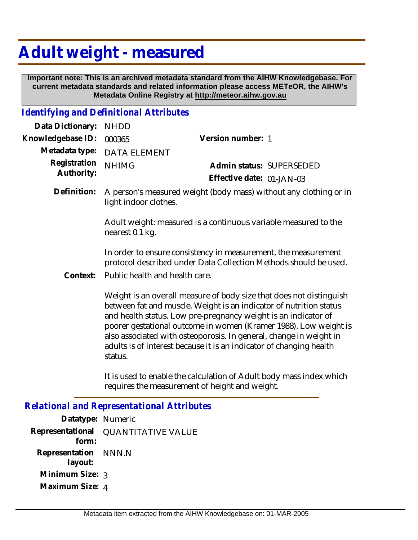## **Adult weight - measured**

 **Important note: This is an archived metadata standard from the AIHW Knowledgebase. For current metadata standards and related information please access METeOR, the AIHW's Metadata Online Registry at http://meteor.aihw.gov.au**

## *Identifying and Definitional Attributes*

| Data Dictionary:                                            | <b>NHDD</b>                                                                                                                                                                                                                                                                                                                                                                                                                             |                                                                                                                                    |  |
|-------------------------------------------------------------|-----------------------------------------------------------------------------------------------------------------------------------------------------------------------------------------------------------------------------------------------------------------------------------------------------------------------------------------------------------------------------------------------------------------------------------------|------------------------------------------------------------------------------------------------------------------------------------|--|
| Knowledgebase ID:                                           | 000365                                                                                                                                                                                                                                                                                                                                                                                                                                  | Version number: 1                                                                                                                  |  |
| Metadata type:<br>Registration<br>Authority:<br>Definition: | <b>DATA ELEMENT</b>                                                                                                                                                                                                                                                                                                                                                                                                                     |                                                                                                                                    |  |
|                                                             | <b>NHIMG</b>                                                                                                                                                                                                                                                                                                                                                                                                                            | Admin status: SUPERSEDED                                                                                                           |  |
|                                                             |                                                                                                                                                                                                                                                                                                                                                                                                                                         | Effective date: 01-JAN-03                                                                                                          |  |
|                                                             | A person's measured weight (body mass) without any clothing or in<br>light indoor clothes.                                                                                                                                                                                                                                                                                                                                              |                                                                                                                                    |  |
|                                                             | Adult weight: measured is a continuous variable measured to the<br>nearest 0.1 kg.                                                                                                                                                                                                                                                                                                                                                      |                                                                                                                                    |  |
|                                                             |                                                                                                                                                                                                                                                                                                                                                                                                                                         | In order to ensure consistency in measurement, the measurement<br>protocol described under Data Collection Methods should be used. |  |
| Context:                                                    | Public health and health care.                                                                                                                                                                                                                                                                                                                                                                                                          |                                                                                                                                    |  |
|                                                             | Weight is an overall measure of body size that does not distinguish<br>between fat and muscle. Weight is an indicator of nutrition status<br>and health status. Low pre-pregnancy weight is an indicator of<br>poorer gestational outcome in women (Kramer 1988). Low weight is<br>also associated with osteoporosis. In general, change in weight in<br>adults is of interest because it is an indicator of changing health<br>status. |                                                                                                                                    |  |
|                                                             |                                                                                                                                                                                                                                                                                                                                                                                                                                         | It is used to enable the calculation of Adult body mass index which<br>requires the measurement of height and weight.              |  |

*Relational and Representational Attributes*

| Datatype: Numeric               |                           |
|---------------------------------|---------------------------|
| Representational<br>form:       | <b>QUANTITATIVE VALUE</b> |
| Representation NNN.N<br>layout: |                           |
| Minimum Size: 3                 |                           |
| Maximum Size: 4                 |                           |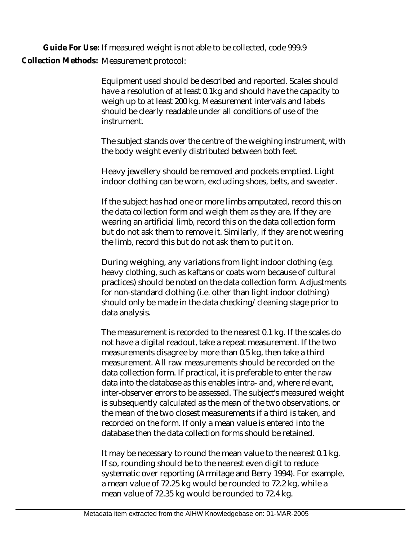**Guide For Use:** If measured weight is not able to be collected, code 999.9 Collection Methods: Measurement protocol:

> Equipment used should be described and reported. Scales should have a resolution of at least 0.1kg and should have the capacity to weigh up to at least 200 kg. Measurement intervals and labels should be clearly readable under all conditions of use of the instrument.

The subject stands over the centre of the weighing instrument, with the body weight evenly distributed between both feet.

Heavy jewellery should be removed and pockets emptied. Light indoor clothing can be worn, excluding shoes, belts, and sweater.

If the subject has had one or more limbs amputated, record this on the data collection form and weigh them as they are. If they are wearing an artificial limb, record this on the data collection form but do not ask them to remove it. Similarly, if they are not wearing the limb, record this but do not ask them to put it on.

During weighing, any variations from light indoor clothing (e.g. heavy clothing, such as kaftans or coats worn because of cultural practices) should be noted on the data collection form. Adjustments for non-standard clothing (i.e. other than light indoor clothing) should only be made in the data checking/cleaning stage prior to data analysis.

The measurement is recorded to the nearest 0.1 kg. If the scales do not have a digital readout, take a repeat measurement. If the two measurements disagree by more than 0.5 kg, then take a third measurement. All raw measurements should be recorded on the data collection form. If practical, it is preferable to enter the raw data into the database as this enables intra- and, where relevant, inter-observer errors to be assessed. The subject's measured weight is subsequently calculated as the mean of the two observations, or the mean of the two closest measurements if a third is taken, and recorded on the form. If only a mean value is entered into the database then the data collection forms should be retained.

It may be necessary to round the mean value to the nearest 0.1 kg. If so, rounding should be to the nearest even digit to reduce systematic over reporting (Armitage and Berry 1994). For example, a mean value of 72.25 kg would be rounded to 72.2 kg, while a mean value of 72.35 kg would be rounded to 72.4 kg.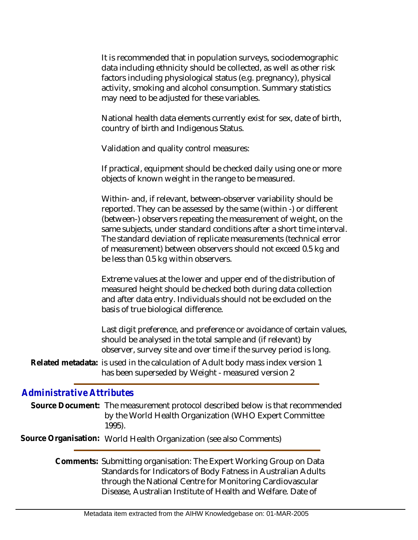It is recommended that in population surveys, sociodemographic data including ethnicity should be collected, as well as other risk factors including physiological status (e.g. pregnancy), physical activity, smoking and alcohol consumption. Summary statistics may need to be adjusted for these variables.

National health data elements currently exist for sex, date of birth, country of birth and Indigenous Status.

Validation and quality control measures:

If practical, equipment should be checked daily using one or more objects of known weight in the range to be measured.

Within- and, if relevant, between-observer variability should be reported. They can be assessed by the same (within -) or different (between-) observers repeating the measurement of weight, on the same subjects, under standard conditions after a short time interval. The standard deviation of replicate measurements (technical error of measurement) between observers should not exceed 0.5 kg and be less than 0.5 kg within observers.

Extreme values at the lower and upper end of the distribution of measured height should be checked both during data collection and after data entry. Individuals should not be excluded on the basis of true biological difference.

Last digit preference, and preference or avoidance of certain values, should be analysed in the total sample and (if relevant) by observer, survey site and over time if the survey period is long.

Related metadata: is used in the calculation of Adult body mass index version 1 has been superseded by Weight - measured version 2

## *Administrative Attributes*

|  | Source Document: The measurement protocol described below is that recommended |
|--|-------------------------------------------------------------------------------|
|  | by the World Health Organization (WHO Expert Committee                        |
|  | $1995$ ).                                                                     |

**Source Organisation:** World Health Organization (see also Comments)

Comments: Submitting organisation: The Expert Working Group on Data Standards for Indicators of Body Fatness in Australian Adults through the National Centre for Monitoring Cardiovascular Disease, Australian Institute of Health and Welfare. Date of